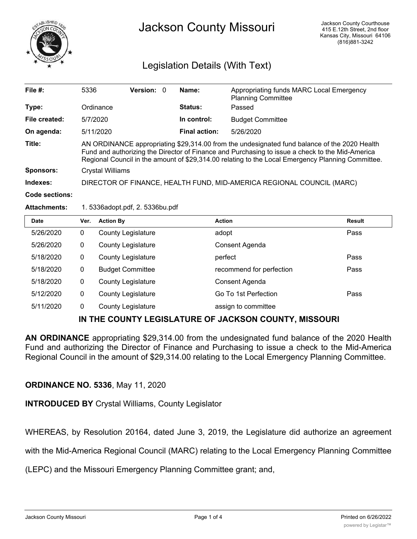

# Jackson County Missouri

# Legislation Details (With Text)

| File $#$ :       | 5336                                                                                                                                                                                                                                                                                                 | Version: 0 |  | Name:                | Appropriating funds MARC Local Emergency<br><b>Planning Committee</b> |
|------------------|------------------------------------------------------------------------------------------------------------------------------------------------------------------------------------------------------------------------------------------------------------------------------------------------------|------------|--|----------------------|-----------------------------------------------------------------------|
| Type:            | Ordinance                                                                                                                                                                                                                                                                                            |            |  | <b>Status:</b>       | Passed                                                                |
| File created:    | 5/7/2020                                                                                                                                                                                                                                                                                             |            |  | In control:          | <b>Budget Committee</b>                                               |
| On agenda:       | 5/11/2020                                                                                                                                                                                                                                                                                            |            |  | <b>Final action:</b> | 5/26/2020                                                             |
| Title:           | AN ORDINANCE appropriating \$29,314.00 from the undesignated fund balance of the 2020 Health<br>Fund and authorizing the Director of Finance and Purchasing to issue a check to the Mid-America<br>Regional Council in the amount of \$29,314.00 relating to the Local Emergency Planning Committee. |            |  |                      |                                                                       |
| <b>Sponsors:</b> | Crystal Williams                                                                                                                                                                                                                                                                                     |            |  |                      |                                                                       |
| Indexes:         |                                                                                                                                                                                                                                                                                                      |            |  |                      | DIRECTOR OF FINANCE, HEALTH FUND, MID-AMERICA REGIONAL COUNCIL (MARC) |
|                  |                                                                                                                                                                                                                                                                                                      |            |  |                      |                                                                       |

#### **Code sections:**

#### **Attachments:** 1. 5336adopt.pdf, 2. 5336bu.pdf

| <b>Date</b> | Ver. | <b>Action By</b>          | <b>Action</b>            | <b>Result</b> |
|-------------|------|---------------------------|--------------------------|---------------|
| 5/26/2020   | 0    | <b>County Legislature</b> | adopt                    | Pass          |
| 5/26/2020   | 0    | <b>County Legislature</b> | Consent Agenda           |               |
| 5/18/2020   | 0    | <b>County Legislature</b> | perfect                  | Pass          |
| 5/18/2020   | 0    | <b>Budget Committee</b>   | recommend for perfection | Pass          |
| 5/18/2020   | 0    | <b>County Legislature</b> | Consent Agenda           |               |
| 5/12/2020   | 0    | <b>County Legislature</b> | Go To 1st Perfection     | Pass          |
| 5/11/2020   | 0    | <b>County Legislature</b> | assign to committee      |               |

## **IN THE COUNTY LEGISLATURE OF JACKSON COUNTY, MISSOURI**

**AN ORDINANCE** appropriating \$29,314.00 from the undesignated fund balance of the 2020 Health Fund and authorizing the Director of Finance and Purchasing to issue a check to the Mid-America Regional Council in the amount of \$29,314.00 relating to the Local Emergency Planning Committee.

### **ORDINANCE NO. 5336**, May 11, 2020

**INTRODUCED BY** Crystal Williams, County Legislator

WHEREAS, by Resolution 20164, dated June 3, 2019, the Legislature did authorize an agreement

with the Mid-America Regional Council (MARC) relating to the Local Emergency Planning Committee

(LEPC) and the Missouri Emergency Planning Committee grant; and,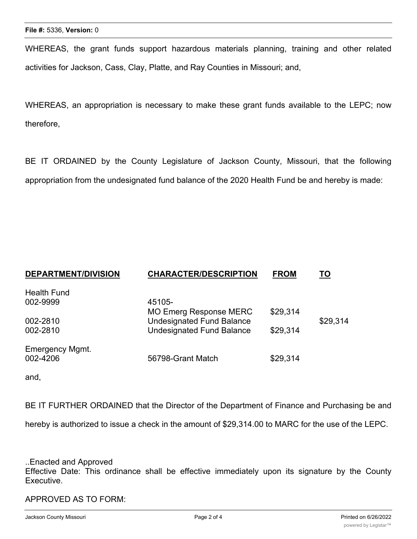WHEREAS, the grant funds support hazardous materials planning, training and other related activities for Jackson, Cass, Clay, Platte, and Ray Counties in Missouri; and,

WHEREAS, an appropriation is necessary to make these grant funds available to the LEPC; now therefore,

BE IT ORDAINED by the County Legislature of Jackson County, Missouri, that the following appropriation from the undesignated fund balance of the 2020 Health Fund be and hereby is made:

| <b>DEPARTMENT/DIVISION</b> | <b>CHARACTER/DESCRIPTION</b>     | <b>FROM</b> | <u>TO</u> |
|----------------------------|----------------------------------|-------------|-----------|
| <b>Health Fund</b>         |                                  |             |           |
| 002-9999                   | 45105-                           |             |           |
|                            | <b>MO Emerg Response MERC</b>    | \$29,314    |           |
| 002-2810                   | <b>Undesignated Fund Balance</b> |             | \$29,314  |
| 002-2810                   | <b>Undesignated Fund Balance</b> | \$29,314    |           |
| Emergency Mgmt.            |                                  |             |           |
| 002-4206                   | 56798-Grant Match                | \$29,314    |           |

and,

BE IT FURTHER ORDAINED that the Director of the Department of Finance and Purchasing be and

hereby is authorized to issue a check in the amount of \$29,314.00 to MARC for the use of the LEPC.

..Enacted and Approved

Effective Date: This ordinance shall be effective immediately upon its signature by the County Executive.

APPROVED AS TO FORM: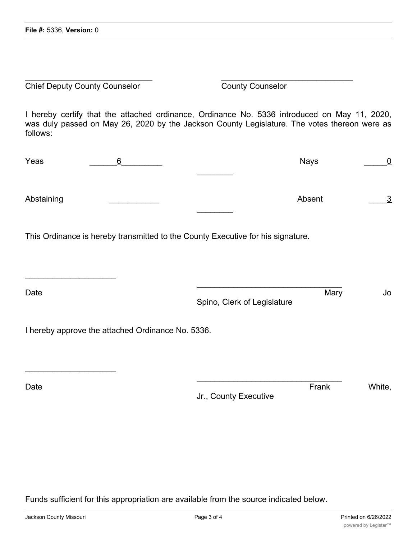**Chief Deputy County Counselor** County Counselor

 $\overline{\phantom{a}}$  , where  $\overline{\phantom{a}}$  , where  $\overline{\phantom{a}}$  , where  $\overline{\phantom{a}}$ 

 $\overline{\phantom{a}}$  , where  $\overline{\phantom{a}}$  , where  $\overline{\phantom{a}}$  , where  $\overline{\phantom{a}}$ 

I hereby certify that the attached ordinance, Ordinance No. 5336 introduced on May 11, 2020, was duly passed on May 26, 2020 by the Jackson County Legislature. The votes thereon were as follows:

 $\overline{\phantom{a}}$  , and the contract of the contract of the contract of the contract of the contract of the contract of the contract of the contract of the contract of the contract of the contract of the contract of the contrac

| Yeas       |  | <b>Nays</b> |          |
|------------|--|-------------|----------|
|            |  |             |          |
| Abstaining |  | Absent      | <u>3</u> |

This Ordinance is hereby transmitted to the County Executive for his signature.

| Date                                              | Spino, Clerk of Legislature | Mary | Jo |
|---------------------------------------------------|-----------------------------|------|----|
| I hereby approve the attached Ordinance No. 5336. |                             |      |    |

Jr., County Executive

 $\mathcal{L}_\mathcal{L}$  , where  $\mathcal{L}_\mathcal{L}$  is the set of the set of the set of the set of the set of the set of the set of the set of the set of the set of the set of the set of the set of the set of the set of the set of the

Date **Contract Contract Contract Contract Contract Contract Contract Contract Contract Contract Contract Contract Contract Contract Contract Contract Contract Contract Contract Contract Contract Contract Contract Contract** 

Funds sufficient for this appropriation are available from the source indicated below.